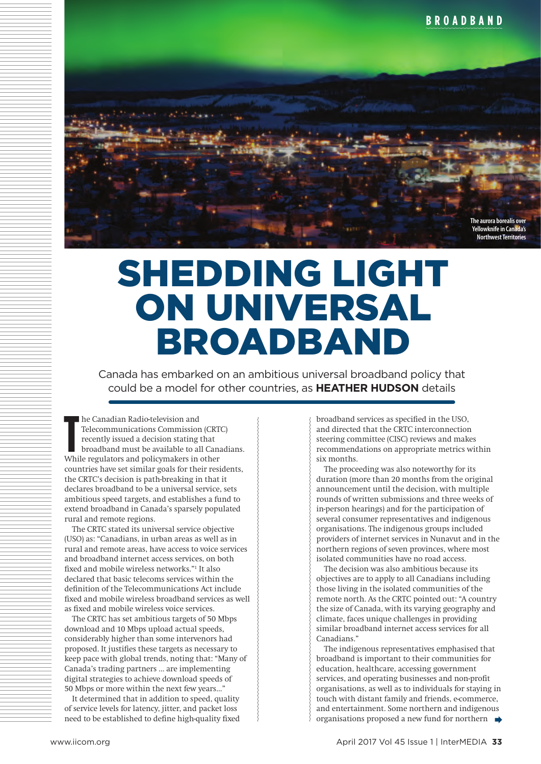

## SHEDDING LIGHT ON UNIVERSAL BROADBAND

Canada has embarked on an ambitious universal broadband policy that could be a model for other countries, as **HEATHER HUDSON** details

**The Canadian Radio-television and Telecommunications Commission (CRT) recently issued a decision stating that broadband must be available to all Cana<br>While regulators and policymakers in other** he Canadian Radio-television and Telecommunications Commission (CRTC) recently issued a decision stating that broadband must be available to all Canadians. countries have set similar goals for their residents, the CRTC's decision is path-breaking in that it declares broadband to be a universal service, sets ambitious speed targets, and establishes a fund to extend broadband in Canada's sparsely populated rural and remote regions.

The CRTC stated its universal service objective (USO) as: "Canadians, in urban areas as well as in rural and remote areas, have access to voice services and broadband internet access services, on both fixed and mobile wireless networks."1 It also declared that basic telecoms services within the definition of the Telecommunications Act include fixed and mobile wireless broadband services as well as fixed and mobile wireless voice services.

The CRTC has set ambitious targets of 50 Mbps download and 10 Mbps upload actual speeds, considerably higher than some intervenors had proposed. It justifies these targets as necessary to keep pace with global trends, noting that: "Many of Canada's trading partners … are implementing digital strategies to achieve download speeds of 50 Mbps or more within the next few years…"

It determined that in addition to speed, quality of service levels for latency, jitter, and packet loss need to be established to define high-quality fixed

broadband services as specified in the USO, and directed that the CRTC interconnection steering committee (CISC) reviews and makes recommendations on appropriate metrics within six months.

The proceeding was also noteworthy for its duration (more than 20 months from the original announcement until the decision, with multiple rounds of written submissions and three weeks of in-person hearings) and for the participation of several consumer representatives and indigenous organisations. The indigenous groups included providers of internet services in Nunavut and in the northern regions of seven provinces, where most isolated communities have no road access.

The decision was also ambitious because its objectives are to apply to all Canadians including those living in the isolated communities of the remote north. As the CRTC pointed out: "A country the size of Canada, with its varying geography and climate, faces unique challenges in providing similar broadband internet access services for all Canadians."

The indigenous representatives emphasised that broadband is important to their communities for education, healthcare, accessing government services, and operating businesses and non-profit organisations, as well as to individuals for staying in touch with distant family and friends, e-commerce, and entertainment. Some northern and indigenous organisations proposed a new fund for northern